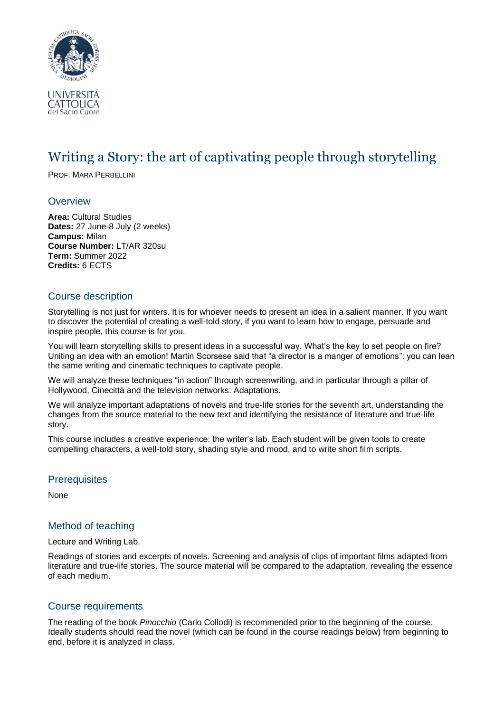

# Writing a Story: the art of captivating people through storytelling

PROF. MARA PERBELLINI

### **Overview**

**Area:** Cultural Studies **Dates:** 27 June-8 July (2 weeks) **Campus:** Milan **Course Number:** LT/AR 320su **Term:** Summer 2022 **Credits:** 6 ECTS

# Course description

Storytelling is not just for writers. It is for whoever needs to present an idea in a salient manner. If you want to discover the potential of creating a well-told story, if you want to learn how to engage, persuade and inspire people, this course is for you.

You will learn storytelling skills to present ideas in a successful way. What's the key to set people on fire? Uniting an idea with an emotion! Martin Scorsese said that "a director is a manger of emotions": you can lean the same writing and cinematic techniques to captivate people.

We will analyze these techniques "in action" through screenwriting, and in particular through a pillar of Hollywood, Cinecittà and the television networks: Adaptations.

We will analyze important adaptations of novels and true-life stories for the seventh art, understanding the changes from the source material to the new text and identifying the resistance of literature and true-life story.

This course includes a creative experience: the writer's lab. Each student will be given tools to create compelling characters, a well-told story, shading style and mood, and to write short film scripts.

### **Prerequisites**

None

# Method of teaching

#### Lecture and Writing Lab.

Readings of stories and excerpts of novels. Screening and analysis of clips of important films adapted from literature and true-life stories. The source material will be compared to the adaptation, revealing the essence of each medium.

# Course requirements

The reading of the book *Pinocchio* (Carlo Collodi) is recommended prior to the beginning of the course. Ideally students should read the novel (which can be found in the course readings below) from beginning to end, before it is analyzed in class.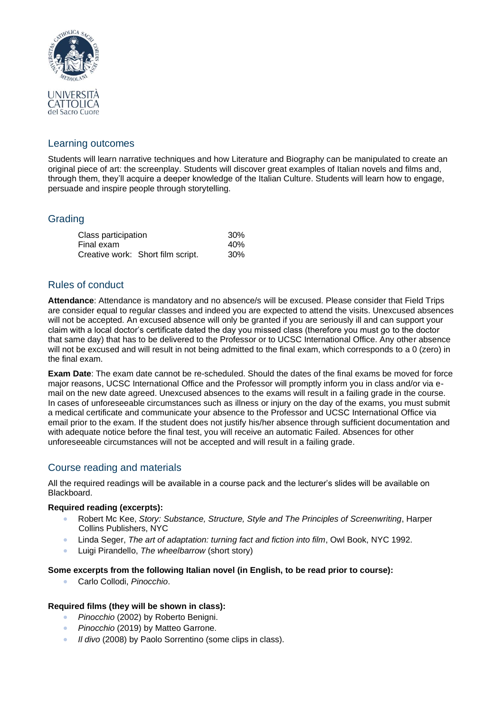

# Learning outcomes

Students will learn narrative techniques and how Literature and Biography can be manipulated to create an original piece of art: the screenplay. Students will discover great examples of Italian novels and films and, through them, they'll acquire a deeper knowledge of the Italian Culture. Students will learn how to engage, persuade and inspire people through storytelling.

# **Grading**

| Class participation |                                   | 30% |
|---------------------|-----------------------------------|-----|
| Final exam          |                                   | 40% |
|                     | Creative work: Short film script. | 30% |

# Rules of conduct

**Attendance**: Attendance is mandatory and no absence/s will be excused. Please consider that Field Trips are consider equal to regular classes and indeed you are expected to attend the visits. Unexcused absences will not be accepted. An excused absence will only be granted if you are seriously ill and can support your claim with a local doctor's certificate dated the day you missed class (therefore you must go to the doctor that same day) that has to be delivered to the Professor or to UCSC International Office. Any other absence will not be excused and will result in not being admitted to the final exam, which corresponds to a 0 (zero) in the final exam.

**Exam Date**: The exam date cannot be re-scheduled. Should the dates of the final exams be moved for force major reasons, UCSC International Office and the Professor will promptly inform you in class and/or via email on the new date agreed. Unexcused absences to the exams will result in a failing grade in the course. In cases of unforeseeable circumstances such as illness or injury on the day of the exams, you must submit a medical certificate and communicate your absence to the Professor and UCSC International Office via email prior to the exam. If the student does not justify his/her absence through sufficient documentation and with adequate notice before the final test, you will receive an automatic Failed. Absences for other unforeseeable circumstances will not be accepted and will result in a failing grade.

# Course reading and materials

All the required readings will be available in a course pack and the lecturer's slides will be available on Blackboard.

### **Required reading (excerpts):**

- Robert Mc Kee, *Story: Substance, Structure, Style and The Principles of Screenwriting*, Harper Collins Publishers, NYC
- Linda Seger, *The art of adaptation: turning fact and fiction into film*, Owl Book, NYC 1992.
- Luigi Pirandello, *The wheelbarrow* (short story)

### **Some excerpts from the following Italian novel (in English, to be read prior to course):**

• Carlo Collodi, *Pinocchio*.

# **Required films (they will be shown in class):**

- *Pinocchio* (2002) by Roberto Benigni.
- *Pinocchio* (2019) by Matteo Garrone.
- *Il divo* (2008) by Paolo Sorrentino (some clips in class).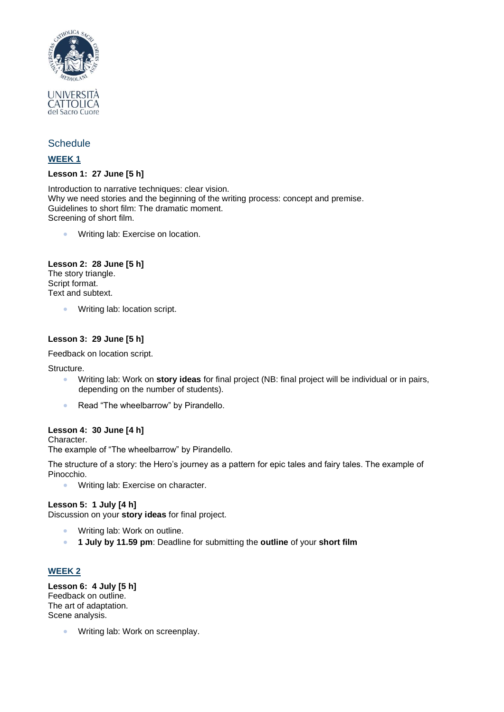

# **Schedule**

### **WEEK 1**

### **Lesson 1: 27 June [5 h]**

Introduction to narrative techniques: clear vision. Why we need stories and the beginning of the writing process: concept and premise. Guidelines to short film: The dramatic moment. Screening of short film.

• Writing lab: Exercise on location.

# **Lesson 2: 28 June [5 h]**

The story triangle. Script format. Text and subtext.

• Writing lab: location script.

### **Lesson 3: 29 June [5 h]**

Feedback on location script.

**Structure** 

- Writing lab: Work on **story ideas** for final project (NB: final project will be individual or in pairs, depending on the number of students).
- Read "The wheelbarrow" by Pirandello.

### **Lesson 4: 30 June [4 h]**

Character.

The example of "The wheelbarrow" by Pirandello.

The structure of a story: the Hero's journey as a pattern for epic tales and fairy tales. The example of Pinocchio.

• Writing lab: Exercise on character.

### **Lesson 5: 1 July [4 h]**

Discussion on your **story ideas** for final project.

- Writing lab: Work on outline.
- **1 July by 11.59 pm**: Deadline for submitting the **outline** of your **short film**

### **WEEK 2**

**Lesson 6: 4 July [5 h]** Feedback on outline. The art of adaptation. Scene analysis.

• Writing lab: Work on screenplay.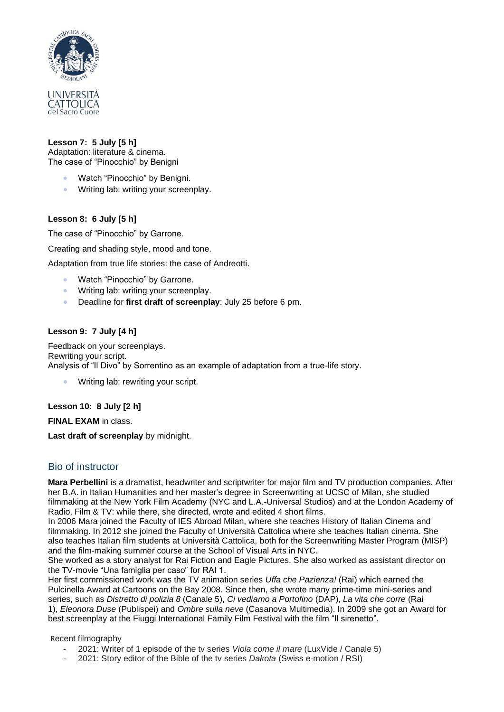

### **Lesson 7: 5 July [5 h]**

Adaptation: literature & cinema. The case of "Pinocchio" by Benigni

- Watch "Pinocchio" by Benigni.
- Writing lab: writing your screenplay.

# **Lesson 8: 6 July [5 h]**

The case of "Pinocchio" by Garrone.

Creating and shading style, mood and tone.

Adaptation from true life stories: the case of Andreotti.

- Watch "Pinocchio" by Garrone.
- Writing lab: writing your screenplay.
- Deadline for **first draft of screenplay**: July 25 before 6 pm.

### **Lesson 9: 7 July [4 h]**

Feedback on your screenplays. Rewriting your script. Analysis of "Il Divo" by Sorrentino as an example of adaptation from a true-life story.

Writing lab: rewriting your script.

# **Lesson 10: 8 July [2 h]**

**FINAL EXAM** in class.

**Last draft of screenplay** by midnight.

# Bio of instructor

**Mara Perbellini** is a dramatist, headwriter and scriptwriter for major film and TV production companies. After her B.A. in Italian Humanities and her master's degree in Screenwriting at UCSC of Milan, she studied filmmaking at the New York Film Academy (NYC and L.A.-Universal Studios) and at the London Academy of Radio, Film & TV: while there, she directed, wrote and edited 4 short films.

In 2006 Mara joined the Faculty of IES Abroad Milan, where she teaches History of Italian Cinema and filmmaking. In 2012 she joined the Faculty of Università Cattolica where she teaches Italian cinema. She also teaches Italian film students at Università Cattolica, both for the Screenwriting Master Program (MISP) and the film-making summer course at the School of Visual Arts in NYC.

She worked as a story analyst for Rai Fiction and Eagle Pictures. She also worked as assistant director on the TV-movie "Una famiglia per caso" for RAI 1.

Her first commissioned work was the TV animation series *Uffa che Pazienza!* (Rai) which earned the Pulcinella Award at Cartoons on the Bay 2008. Since then, she wrote many prime-time mini-series and series, such as *Distretto di polizia 8* (Canale 5), *Ci vediamo a Portofino* (DAP), *La vita che corre* (Rai 1), *Eleonora Duse* (Publispei) and *Ombre sulla neve* (Casanova Multimedia). In 2009 she got an Award for best screenplay at the Fiuggi International Family Film Festival with the film "Il sirenetto".

Recent filmography

- 2021: Writer of 1 episode of the tv series *Viola come il mare* (LuxVide / Canale 5)
- 2021: Story editor of the Bible of the tv series *Dakota* (Swiss e-motion / RSI)